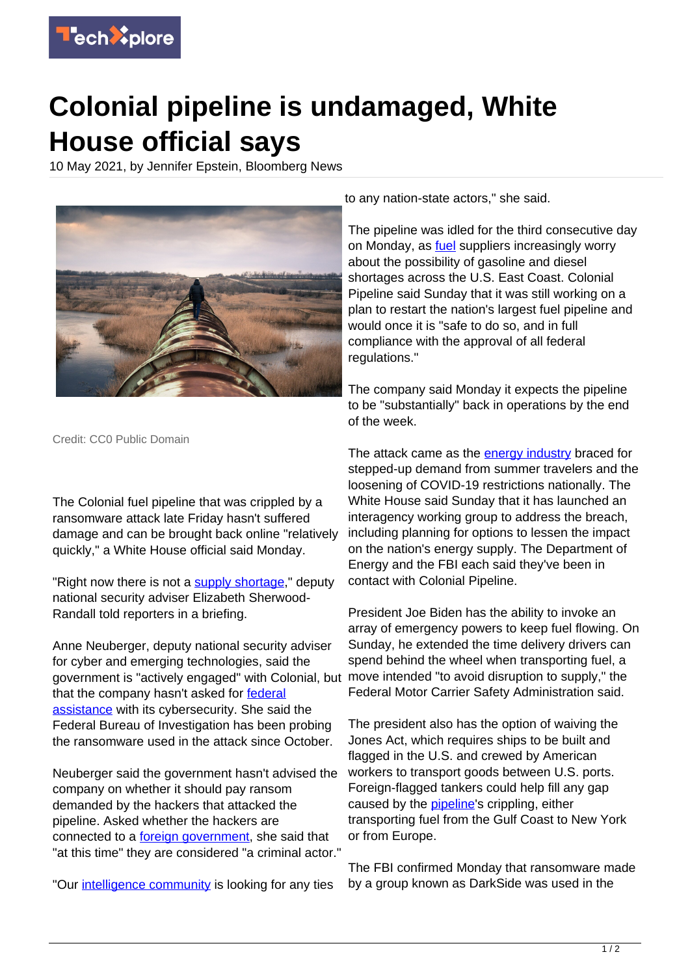

## **Colonial pipeline is undamaged, White House official says**

10 May 2021, by Jennifer Epstein, Bloomberg News



Credit: CC0 Public Domain

The Colonial fuel pipeline that was crippled by a ransomware attack late Friday hasn't suffered damage and can be brought back online "relatively quickly," a White House official said Monday.

"Right now there is not a [supply shortage,](https://techxplore.com/tags/supply+shortage/)" deputy national security adviser Elizabeth Sherwood-Randall told reporters in a briefing.

Anne Neuberger, deputy national security adviser for cyber and emerging technologies, said the government is "actively engaged" with Colonial, but that the company hasn't asked for [federal](https://techxplore.com/tags/federal+assistance/) [assistance](https://techxplore.com/tags/federal+assistance/) with its cybersecurity. She said the Federal Bureau of Investigation has been probing the ransomware used in the attack since October.

Neuberger said the government hasn't advised the company on whether it should pay ransom demanded by the hackers that attacked the pipeline. Asked whether the hackers are connected to a [foreign government](https://techxplore.com/tags/foreign+government/), she said that "at this time" they are considered "a criminal actor."

"Our [intelligence community](https://techxplore.com/tags/intelligence+community/) is looking for any ties

to any nation-state actors," she said.

The pipeline was idled for the third consecutive day on Monday, as **[fuel](https://techxplore.com/tags/fuel/)** suppliers increasingly worry about the possibility of gasoline and diesel shortages across the U.S. East Coast. Colonial Pipeline said Sunday that it was still working on a plan to restart the nation's largest fuel pipeline and would once it is "safe to do so, and in full compliance with the approval of all federal regulations."

The company said Monday it expects the pipeline to be "substantially" back in operations by the end of the week.

The attack came as the [energy industry](https://techxplore.com/tags/energy+industry/) braced for stepped-up demand from summer travelers and the loosening of COVID-19 restrictions nationally. The White House said Sunday that it has launched an interagency working group to address the breach, including planning for options to lessen the impact on the nation's energy supply. The Department of Energy and the FBI each said they've been in contact with Colonial Pipeline.

President Joe Biden has the ability to invoke an array of emergency powers to keep fuel flowing. On Sunday, he extended the time delivery drivers can spend behind the wheel when transporting fuel, a move intended "to avoid disruption to supply," the Federal Motor Carrier Safety Administration said.

The president also has the option of waiving the Jones Act, which requires ships to be built and flagged in the U.S. and crewed by American workers to transport goods between U.S. ports. Foreign-flagged tankers could help fill any gap caused by the **pipeline**'s crippling, either transporting fuel from the Gulf Coast to New York or from Europe.

The FBI confirmed Monday that ransomware made by a group known as DarkSide was used in the